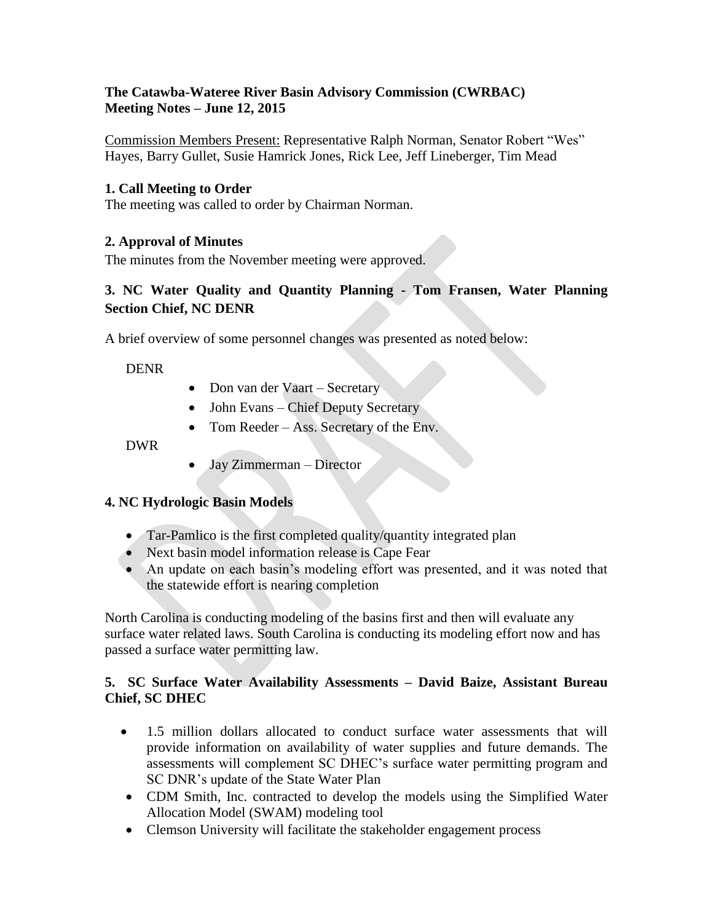## **The Catawba-Wateree River Basin Advisory Commission (CWRBAC) Meeting Notes – June 12, 2015**

Commission Members Present: Representative Ralph Norman, Senator Robert "Wes" Hayes, Barry Gullet, Susie Hamrick Jones, Rick Lee, Jeff Lineberger, Tim Mead

## **1. Call Meeting to Order**

The meeting was called to order by Chairman Norman.

## **2. Approval of Minutes**

The minutes from the November meeting were approved.

# **3. NC Water Quality and Quantity Planning - Tom Fransen, Water Planning Section Chief, NC DENR**

A brief overview of some personnel changes was presented as noted below:

#### DENR

- Don van der Vaart Secretary
- John Evans Chief Deputy Secretary
- Tom Reeder Ass. Secretary of the Env.

#### DWR

• Jay Zimmerman – Director

#### **4. NC Hydrologic Basin Models**

- Tar-Pamlico is the first completed quality/quantity integrated plan
- Next basin model information release is Cape Fear
- An update on each basin's modeling effort was presented, and it was noted that the statewide effort is nearing completion

North Carolina is conducting modeling of the basins first and then will evaluate any surface water related laws. South Carolina is conducting its modeling effort now and has passed a surface water permitting law.

## **5. SC Surface Water Availability Assessments – David Baize, Assistant Bureau Chief, SC DHEC**

- 1.5 million dollars allocated to conduct surface water assessments that will provide information on availability of water supplies and future demands. The assessments will complement SC DHEC's surface water permitting program and SC DNR's update of the State Water Plan
- CDM Smith, Inc. contracted to develop the models using the Simplified Water Allocation Model (SWAM) modeling tool
- Clemson University will facilitate the stakeholder engagement process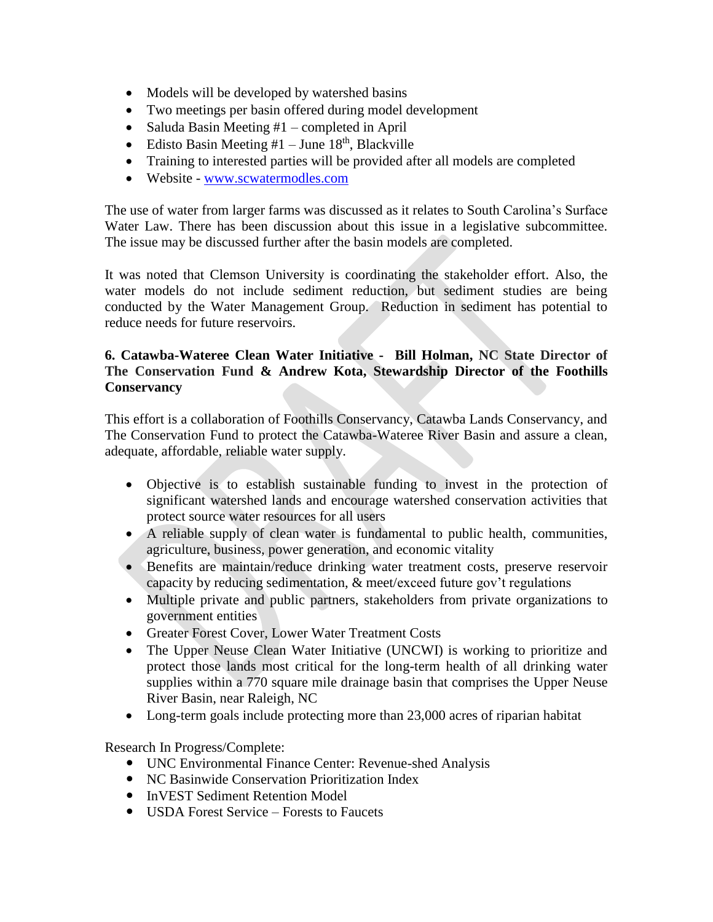- Models will be developed by watershed basins
- Two meetings per basin offered during model development
- Saluda Basin Meeting  $#1$  completed in April
- Edisto Basin Meeting  $#1 -$  June  $18<sup>th</sup>$ , Blackville
- Training to interested parties will be provided after all models are completed
- Website [www.scwatermodles.com](http://www.scwatermodles.com/)

The use of water from larger farms was discussed as it relates to South Carolina's Surface Water Law. There has been discussion about this issue in a legislative subcommittee. The issue may be discussed further after the basin models are completed.

It was noted that Clemson University is coordinating the stakeholder effort. Also, the water models do not include sediment reduction, but sediment studies are being conducted by the Water Management Group. Reduction in sediment has potential to reduce needs for future reservoirs.

## **6. Catawba-Wateree Clean Water Initiative - Bill Holman, NC State Director of The Conservation Fund & Andrew Kota, Stewardship Director of the Foothills Conservancy**

This effort is a collaboration of Foothills Conservancy, Catawba Lands Conservancy, and The Conservation Fund to protect the Catawba-Wateree River Basin and assure a clean, adequate, affordable, reliable water supply.

- Objective is to establish sustainable funding to invest in the protection of significant watershed lands and encourage watershed conservation activities that protect source water resources for all users
- A reliable supply of clean water is fundamental to public health, communities, agriculture, business, power generation, and economic vitality
- Benefits are maintain/reduce drinking water treatment costs, preserve reservoir capacity by reducing sedimentation, & meet/exceed future gov't regulations
- Multiple private and public partners, stakeholders from private organizations to government entities
- Greater Forest Cover, Lower Water Treatment Costs
- The Upper Neuse Clean Water Initiative (UNCWI) is working to prioritize and protect those lands most critical for the long-term health of all drinking water supplies within a 770 square mile drainage basin that comprises the Upper Neuse River Basin, near Raleigh, NC
- Long-term goals include protecting more than 23,000 acres of riparian habitat

Research In Progress/Complete:

- UNC Environmental Finance Center: Revenue-shed Analysis
- NC Basinwide Conservation Prioritization Index
- InVEST Sediment Retention Model
- USDA Forest Service Forests to Faucets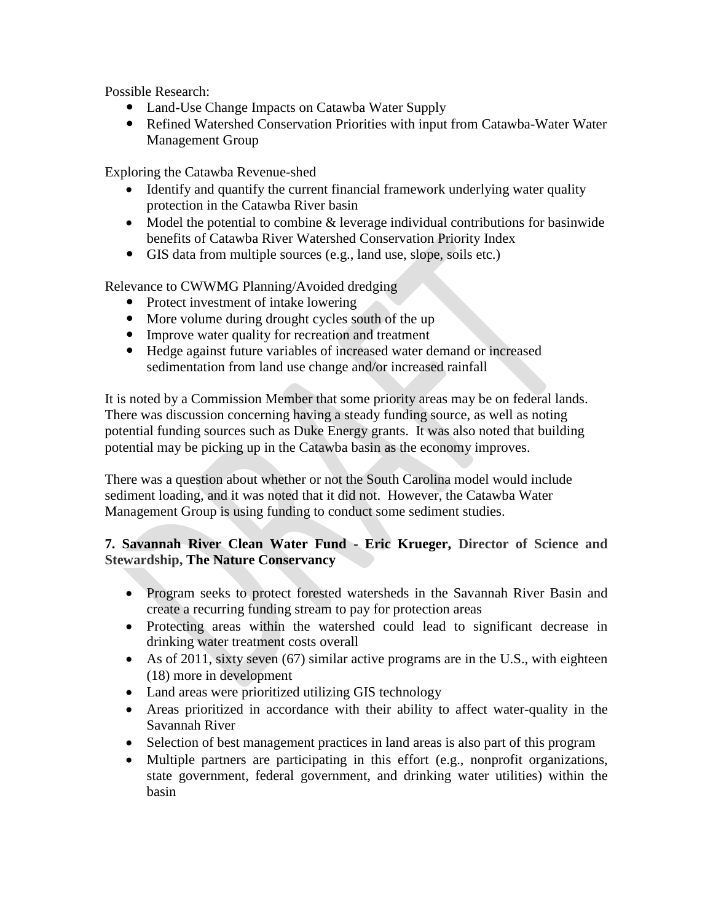Possible Research:

- Land-Use Change Impacts on Catawba Water Supply
- Refined Watershed Conservation Priorities with input from Catawba-Water Water Management Group

Exploring the Catawba Revenue-shed

- Identify and quantify the current financial framework underlying water quality protection in the Catawba River basin
- Model the potential to combine & leverage individual contributions for basinwide benefits of Catawba River Watershed Conservation Priority Index
- GIS data from multiple sources (e.g., land use, slope, soils etc.)

Relevance to CWWMG Planning/Avoided dredging

- Protect investment of intake lowering
- More volume during drought cycles south of the up
- Improve water quality for recreation and treatment
- Hedge against future variables of increased water demand or increased sedimentation from land use change and/or increased rainfall

It is noted by a Commission Member that some priority areas may be on federal lands. There was discussion concerning having a steady funding source, as well as noting potential funding sources such as Duke Energy grants. It was also noted that building potential may be picking up in the Catawba basin as the economy improves.

There was a question about whether or not the South Carolina model would include sediment loading, and it was noted that it did not. However, the Catawba Water Management Group is using funding to conduct some sediment studies.

# **7. Savannah River Clean Water Fund - Eric Krueger, Director of Science and Stewardship, The Nature Conservancy**

- Program seeks to protect forested watersheds in the Savannah River Basin and create a recurring funding stream to pay for protection areas
- Protecting areas within the watershed could lead to significant decrease in drinking water treatment costs overall
- As of 2011, sixty seven (67) similar active programs are in the U.S., with eighteen (18) more in development
- Land areas were prioritized utilizing GIS technology
- Areas prioritized in accordance with their ability to affect water-quality in the Savannah River
- Selection of best management practices in land areas is also part of this program
- Multiple partners are participating in this effort (e.g., nonprofit organizations, state government, federal government, and drinking water utilities) within the basin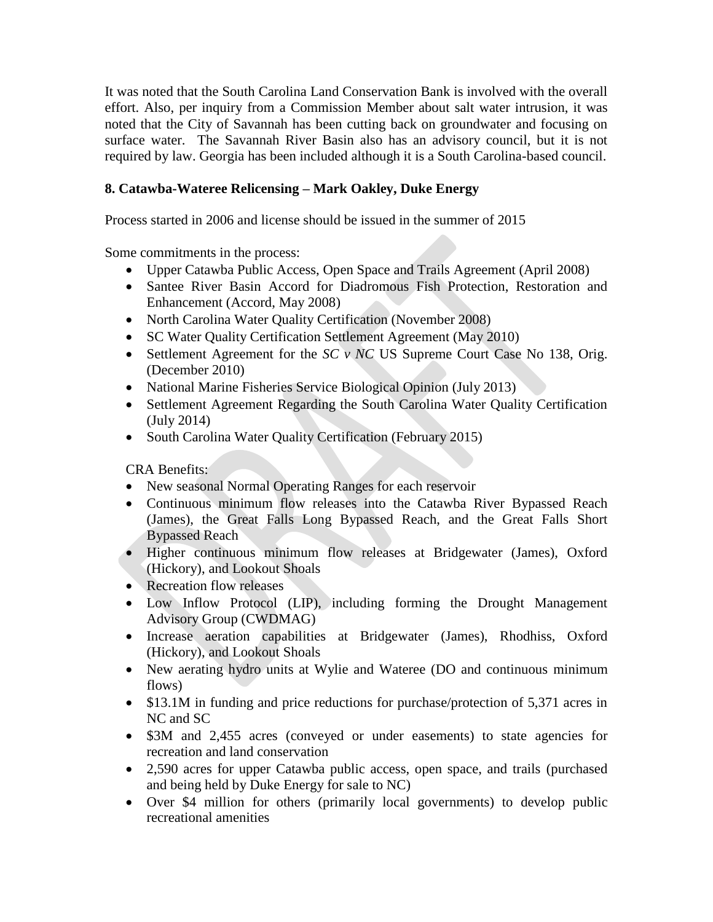It was noted that the South Carolina Land Conservation Bank is involved with the overall effort. Also, per inquiry from a Commission Member about salt water intrusion, it was noted that the City of Savannah has been cutting back on groundwater and focusing on surface water. The Savannah River Basin also has an advisory council, but it is not required by law. Georgia has been included although it is a South Carolina-based council.

# **8. Catawba-Wateree Relicensing – Mark Oakley, Duke Energy**

Process started in 2006 and license should be issued in the summer of 2015

Some commitments in the process:

- Upper Catawba Public Access, Open Space and Trails Agreement (April 2008)
- Santee River Basin Accord for Diadromous Fish Protection, Restoration and Enhancement (Accord, May 2008)
- North Carolina Water Quality Certification (November 2008)
- SC Water Quality Certification Settlement Agreement (May 2010)
- Settlement Agreement for the *SC v NC* US Supreme Court Case No 138, Orig. (December 2010)
- National Marine Fisheries Service Biological Opinion (July 2013)
- Settlement Agreement Regarding the South Carolina Water Quality Certification (July 2014)
- South Carolina Water Quality Certification (February 2015)

CRA Benefits:

- New seasonal Normal Operating Ranges for each reservoir
- Continuous minimum flow releases into the Catawba River Bypassed Reach (James), the Great Falls Long Bypassed Reach, and the Great Falls Short Bypassed Reach
- Higher continuous minimum flow releases at Bridgewater (James), Oxford (Hickory), and Lookout Shoals
- Recreation flow releases
- Low Inflow Protocol (LIP), including forming the Drought Management Advisory Group (CWDMAG)
- Increase aeration capabilities at Bridgewater (James), Rhodhiss, Oxford (Hickory), and Lookout Shoals
- New aerating hydro units at Wylie and Wateree (DO and continuous minimum flows)
- \$13.1M in funding and price reductions for purchase/protection of 5,371 acres in NC and SC
- \$3M and 2,455 acres (conveyed or under easements) to state agencies for recreation and land conservation
- 2,590 acres for upper Catawba public access, open space, and trails (purchased and being held by Duke Energy for sale to NC)
- Over \$4 million for others (primarily local governments) to develop public recreational amenities